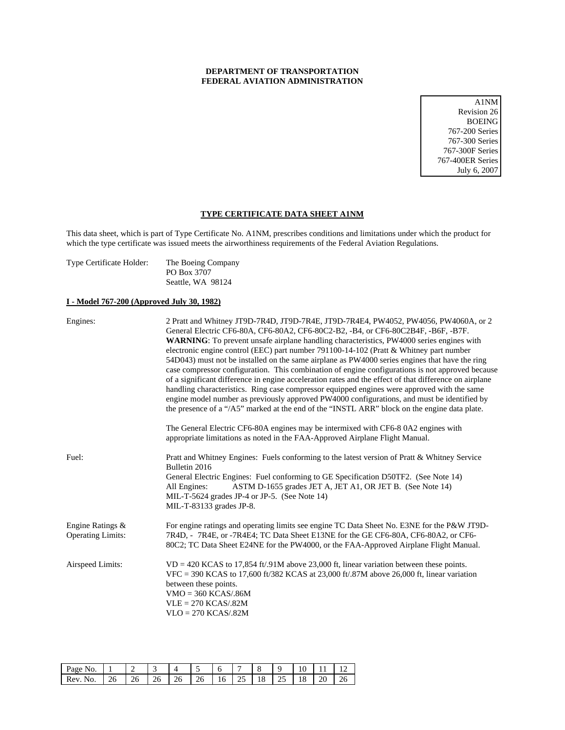## **DEPARTMENT OF TRANSPORTATION FEDERAL AVIATION ADMINISTRATION**

A1NM Revision 26 BOEING 767-200 Series 767-300 Series 767-300F Series 767-400ER Series July 6, 2007

### **TYPE CERTIFICATE DATA SHEET A1NM**

This data sheet, which is part of Type Certificate No. A1NM, prescribes conditions and limitations under which the product for which the type certificate was issued meets the airworthiness requirements of the Federal Aviation Regulations.

| Type Certificate Holder: | The Boeing Company |
|--------------------------|--------------------|
|                          | PO Box 3707        |
|                          | Seattle, WA 98124  |

## **I - Model 767-200 (Approved July 30, 1982)**

| Engines:                                     | 2 Pratt and Whitney JT9D-7R4D, JT9D-7R4E, JT9D-7R4E4, PW4052, PW4056, PW4060A, or 2<br>General Electric CF6-80A, CF6-80A2, CF6-80C2-B2, -B4, or CF6-80C2B4F, -B6F, -B7F.<br><b>WARNING:</b> To prevent unsafe airplane handling characteristics, PW4000 series engines with<br>electronic engine control (EEC) part number 791100-14-102 (Pratt & Whitney part number<br>54D043) must not be installed on the same airplane as PW4000 series engines that have the ring<br>case compressor configuration. This combination of engine configurations is not approved because<br>of a significant difference in engine acceleration rates and the effect of that difference on airplane<br>handling characteristics. Ring case compressor equipped engines were approved with the same<br>engine model number as previously approved PW4000 configurations, and must be identified by<br>the presence of a "/A5" marked at the end of the "INSTL ARR" block on the engine data plate. |
|----------------------------------------------|-------------------------------------------------------------------------------------------------------------------------------------------------------------------------------------------------------------------------------------------------------------------------------------------------------------------------------------------------------------------------------------------------------------------------------------------------------------------------------------------------------------------------------------------------------------------------------------------------------------------------------------------------------------------------------------------------------------------------------------------------------------------------------------------------------------------------------------------------------------------------------------------------------------------------------------------------------------------------------------|
|                                              | The General Electric CF6-80A engines may be intermixed with CF6-80A2 engines with<br>appropriate limitations as noted in the FAA-Approved Airplane Flight Manual.                                                                                                                                                                                                                                                                                                                                                                                                                                                                                                                                                                                                                                                                                                                                                                                                                   |
| Fuel:                                        | Pratt and Whitney Engines: Fuels conforming to the latest version of Pratt & Whitney Service<br>Bulletin 2016<br>General Electric Engines: Fuel conforming to GE Specification D50TF2. (See Note 14)<br>All Engines:<br>ASTM D-1655 grades JET A, JET A1, OR JET B. (See Note 14)<br>MIL-T-5624 grades JP-4 or JP-5. (See Note 14)<br>MIL-T-83133 grades JP-8.                                                                                                                                                                                                                                                                                                                                                                                                                                                                                                                                                                                                                      |
| Engine Ratings &<br><b>Operating Limits:</b> | For engine ratings and operating limits see engine TC Data Sheet No. E3NE for the P&W JT9D-<br>7R4D, - 7R4E, or -7R4E4; TC Data Sheet E13NE for the GE CF6-80A, CF6-80A2, or CF6-<br>80C2; TC Data Sheet E24NE for the PW4000, or the FAA-Approved Airplane Flight Manual.                                                                                                                                                                                                                                                                                                                                                                                                                                                                                                                                                                                                                                                                                                          |
| Airspeed Limits:                             | $VD = 420 KCAS$ to 17,854 ft/.91M above 23,000 ft, linear variation between these points.<br>$VFC = 390$ KCAS to 17,600 ft/382 KCAS at 23,000 ft/.87M above 26,000 ft, linear variation<br>between these points.<br>$VMO = 360 KCAS/0.86M$<br>$VLE = 270 KCAS/.82M$<br>$VLO = 270 KCAS/.82M$                                                                                                                                                                                                                                                                                                                                                                                                                                                                                                                                                                                                                                                                                        |

| D<br>'age<br>N.                 | -   |    |    | ◢ |     |    |    |    |    | ◡  | . . |   |
|---------------------------------|-----|----|----|---|-----|----|----|----|----|----|-----|---|
| $\mathbf{P}_{\mathbf{P}U}$<br>∼ | - - | 26 | 20 | ∼ | - - | 16 | رے | 10 | رے | 10 | ∠∪  | ້ |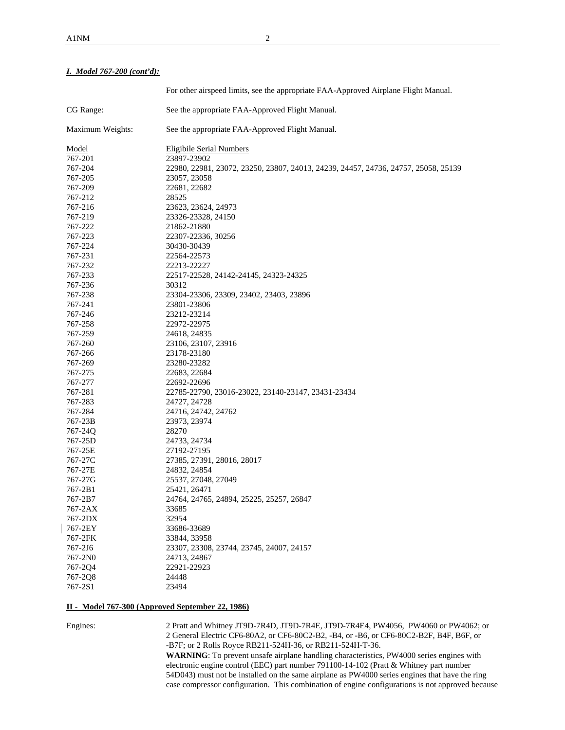## *I. Model 767-200 (cont'd):*

|                  | For other airspeed limits, see the appropriate FAA-Approved Airplane Flight Manual. |
|------------------|-------------------------------------------------------------------------------------|
| CG Range:        | See the appropriate FAA-Approved Flight Manual.                                     |
| Maximum Weights: | See the appropriate FAA-Approved Flight Manual.                                     |
| Model            | <b>Eligibile Serial Numbers</b>                                                     |
| 767-201          | 23897-23902                                                                         |
| 767-204          | 22980, 22981, 23072, 23250, 23807, 24013, 24239, 24457, 24736, 24757, 25058, 25139  |
| 767-205          | 23057, 23058                                                                        |
| 767-209          | 22681, 22682                                                                        |
| 767-212          | 28525                                                                               |
| 767-216          | 23623, 23624, 24973                                                                 |
| 767-219          | 23326-23328, 24150                                                                  |
| 767-222          | 21862-21880                                                                         |
| 767-223          | 22307-22336, 30256                                                                  |
| 767-224          | 30430-30439                                                                         |
| 767-231          | 22564-22573                                                                         |
| 767-232          | 22213-22227                                                                         |
| 767-233          | 22517-22528, 24142-24145, 24323-24325                                               |
| 767-236          | 30312                                                                               |
| 767-238          | 23304-23306, 23309, 23402, 23403, 23896                                             |
| 767-241          | 23801-23806                                                                         |
| 767-246          | 23212-23214                                                                         |
| 767-258          | 22972-22975                                                                         |
| 767-259          | 24618, 24835                                                                        |
| 767-260          | 23106, 23107, 23916                                                                 |
| 767-266          | 23178-23180                                                                         |
| 767-269          | 23280-23282                                                                         |
| 767-275          | 22683, 22684                                                                        |
| 767-277          | 22692-22696                                                                         |
| 767-281          | 22785-22790, 23016-23022, 23140-23147, 23431-23434                                  |
| 767-283          | 24727, 24728                                                                        |
| 767-284          | 24716, 24742, 24762                                                                 |
| 767-23B          | 23973, 23974                                                                        |
| 767-24Q          | 28270                                                                               |
| 767-25D          | 24733, 24734                                                                        |
| 767-25E          | 27192-27195                                                                         |
| 767-27C          | 27385, 27391, 28016, 28017                                                          |
| 767-27E          | 24832, 24854                                                                        |
| 767-27G          | 25537, 27048, 27049                                                                 |
| 767-2B1          | 25421, 26471                                                                        |
| 767-2B7          | 24764, 24765, 24894, 25225, 25257, 26847                                            |
| 767-2AX          | 33685                                                                               |
| 767-2DX          | 32954                                                                               |
| 767-2EY          | 33686-33689                                                                         |
| 767-2FK          | 33844, 33958                                                                        |
| 767-2J6          | 23307, 23308, 23744, 23745, 24007, 24157                                            |
| 767-2N0          | 24713, 24867                                                                        |
| 767-2Q4          | 22921-22923                                                                         |
| 767-2Q8          | 24448                                                                               |
| 767-2S1          | 23494                                                                               |

### **II - Model 767-300 (Approved September 22, 1986)**

Engines: 2 Pratt and Whitney JT9D-7R4D, JT9D-7R4E, JT9D-7R4E4, PW4056, PW4060 or PW4062; or 2 General Electric CF6-80A2, or CF6-80C2-B2, -B4, or -B6, or CF6-80C2-B2F, B4F, B6F, or -B7F; or 2 Rolls Royce RB211-524H-36, or RB211-524H-T-36.

**WARNING**: To prevent unsafe airplane handling characteristics, PW4000 series engines with electronic engine control (EEC) part number 791100-14-102 (Pratt & Whitney part number 54D043) must not be installed on the same airplane as PW4000 series engines that have the ring case compressor configuration. This combination of engine configurations is not approved because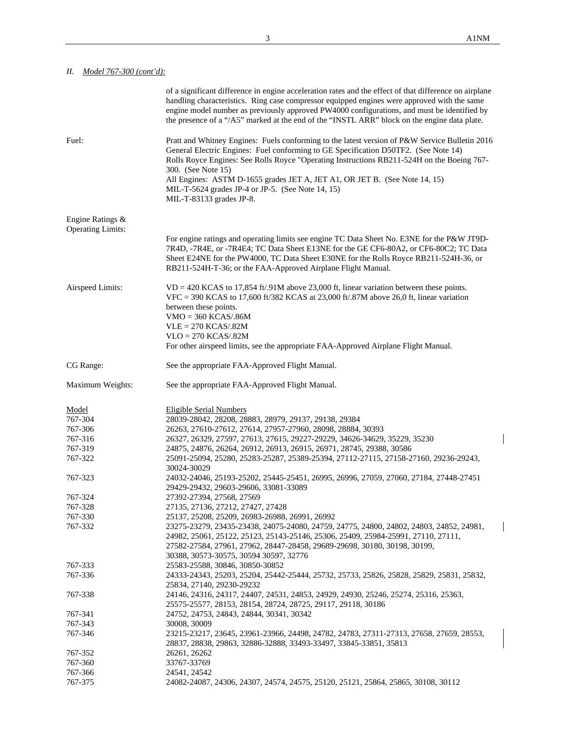$\overline{\phantom{a}}$ 

 $\overline{\phantom{a}}$ 

# *II. Model 767-300 (cont'd):*

|                                              | of a significant difference in engine acceleration rates and the effect of that difference on airplane<br>handling characteristics. Ring case compressor equipped engines were approved with the same<br>engine model number as previously approved PW4000 configurations, and must be identified by<br>the presence of a "/A5" marked at the end of the "INSTL ARR" block on the engine data plate. |
|----------------------------------------------|------------------------------------------------------------------------------------------------------------------------------------------------------------------------------------------------------------------------------------------------------------------------------------------------------------------------------------------------------------------------------------------------------|
| Fuel:                                        | Pratt and Whitney Engines: Fuels conforming to the latest version of P&W Service Bulletin 2016<br>General Electric Engines: Fuel conforming to GE Specification D50TF2. (See Note 14)<br>Rolls Royce Engines: See Rolls Royce "Operating Instructions RB211-524H on the Boeing 767-<br>300. (See Note 15)                                                                                            |
|                                              | All Engines: ASTM D-1655 grades JET A, JET A1, OR JET B. (See Note 14, 15)<br>MIL-T-5624 grades JP-4 or JP-5. (See Note 14, 15)<br>MIL-T-83133 grades JP-8.                                                                                                                                                                                                                                          |
| Engine Ratings &<br><b>Operating Limits:</b> |                                                                                                                                                                                                                                                                                                                                                                                                      |
|                                              | For engine ratings and operating limits see engine TC Data Sheet No. E3NE for the P&W JT9D-<br>7R4D, -7R4E, or -7R4E4; TC Data Sheet E13NE for the GE CF6-80A2, or CF6-80C2; TC Data<br>Sheet E24NE for the PW4000, TC Data Sheet E30NE for the Rolls Royce RB211-524H-36, or<br>RB211-524H-T-36; or the FAA-Approved Airplane Flight Manual.                                                        |
| Airspeed Limits:                             | $VD = 420$ KCAS to 17,854 ft/.91M above 23,000 ft, linear variation between these points.<br>VFC = 390 KCAS to 17,600 ft/382 KCAS at 23,000 ft/.87M above 26,0 ft, linear variation<br>between these points.                                                                                                                                                                                         |
|                                              | $VMO = 360 KCAS/0.86M$                                                                                                                                                                                                                                                                                                                                                                               |
|                                              | $VLE = 270 KCAS/.82M$                                                                                                                                                                                                                                                                                                                                                                                |
|                                              | $VLO = 270 KCAS/0.82M$<br>For other airspeed limits, see the appropriate FAA-Approved Airplane Flight Manual.                                                                                                                                                                                                                                                                                        |
|                                              |                                                                                                                                                                                                                                                                                                                                                                                                      |
| CG Range:                                    | See the appropriate FAA-Approved Flight Manual.                                                                                                                                                                                                                                                                                                                                                      |
| Maximum Weights:                             | See the appropriate FAA-Approved Flight Manual.                                                                                                                                                                                                                                                                                                                                                      |
| Model                                        | <b>Eligible Serial Numbers</b>                                                                                                                                                                                                                                                                                                                                                                       |
| 767-304                                      | 28039-28042, 28208, 28883, 28979, 29137, 29138, 29384                                                                                                                                                                                                                                                                                                                                                |
| 767-306                                      | 26263, 27610-27612, 27614, 27957-27960, 28098, 28884, 30393                                                                                                                                                                                                                                                                                                                                          |
| 767-316                                      | 26327, 26329, 27597, 27613, 27615, 29227-29229, 34626-34629, 35229, 35230                                                                                                                                                                                                                                                                                                                            |
| 767-319                                      | 24875, 24876, 26264, 26912, 26913, 26915, 26971, 28745, 29388, 30586                                                                                                                                                                                                                                                                                                                                 |
| 767-322                                      | 25091-25094, 25280, 25283-25287, 25389-25394, 27112-27115, 27158-27160, 29236-29243,                                                                                                                                                                                                                                                                                                                 |
|                                              | 30024-30029                                                                                                                                                                                                                                                                                                                                                                                          |
| 767-323                                      | 24032-24046, 25193-25202, 25445-25451, 26995, 26996, 27059, 27060, 27184, 27448-27451<br>29429-29432, 29603-29606, 33081-33089                                                                                                                                                                                                                                                                       |
| 767-324                                      | 27392-27394, 27568, 27569                                                                                                                                                                                                                                                                                                                                                                            |
| 767-328                                      | 27135, 27136, 27212, 27427, 27428                                                                                                                                                                                                                                                                                                                                                                    |
| 767-330                                      | 25137, 25208, 25209, 26983-26988, 26991, 26992                                                                                                                                                                                                                                                                                                                                                       |
| 767-332                                      | 23275-23279, 23435-23438, 24075-24080, 24759, 24775, 24800, 24802, 24803, 24852, 24981,                                                                                                                                                                                                                                                                                                              |
|                                              | 24982, 25061, 25122, 25123, 25143-25146, 25306, 25409, 25984-25991, 27110, 27111,                                                                                                                                                                                                                                                                                                                    |
|                                              | 27582-27584, 27961, 27962, 28447-28458, 29689-29698, 30180, 30198, 30199,                                                                                                                                                                                                                                                                                                                            |
|                                              | 30388, 30573-30575, 30594 30597, 32776                                                                                                                                                                                                                                                                                                                                                               |
| 767-333                                      | 25583-25588, 30846, 30850-30852                                                                                                                                                                                                                                                                                                                                                                      |
| 767-336                                      | 24333-24343, 25203, 25204, 25442-25444, 25732, 25733, 25826, 25828, 25829, 25831, 25832,                                                                                                                                                                                                                                                                                                             |
| 767-338                                      | 25834, 27140, 29230-29232<br>24146, 24316, 24317, 24407, 24531, 24853, 24929, 24930, 25246, 25274, 25316, 25363,                                                                                                                                                                                                                                                                                     |
|                                              | 25575-25577, 28153, 28154, 28724, 28725, 29117, 29118, 30186                                                                                                                                                                                                                                                                                                                                         |
| 767-341                                      | 24752, 24753, 24843, 24844, 30341, 30342                                                                                                                                                                                                                                                                                                                                                             |
| 767-343                                      | 30008, 30009                                                                                                                                                                                                                                                                                                                                                                                         |
| 767-346                                      | 23215-23217, 23645, 23961-23966, 24498, 24782, 24783, 27311-27313, 27658, 27659, 28553,                                                                                                                                                                                                                                                                                                              |
|                                              | 28837, 28838, 29863, 32886-32888, 33493-33497, 33845-33851, 35813                                                                                                                                                                                                                                                                                                                                    |
| 767-352<br>767-360                           | 26261, 26262<br>33767-33769                                                                                                                                                                                                                                                                                                                                                                          |
| 767-366                                      | 24541, 24542                                                                                                                                                                                                                                                                                                                                                                                         |
| 767-375                                      | 24082-24087, 24306, 24307, 24574, 24575, 25120, 25121, 25864, 25865, 30108, 30112                                                                                                                                                                                                                                                                                                                    |
|                                              |                                                                                                                                                                                                                                                                                                                                                                                                      |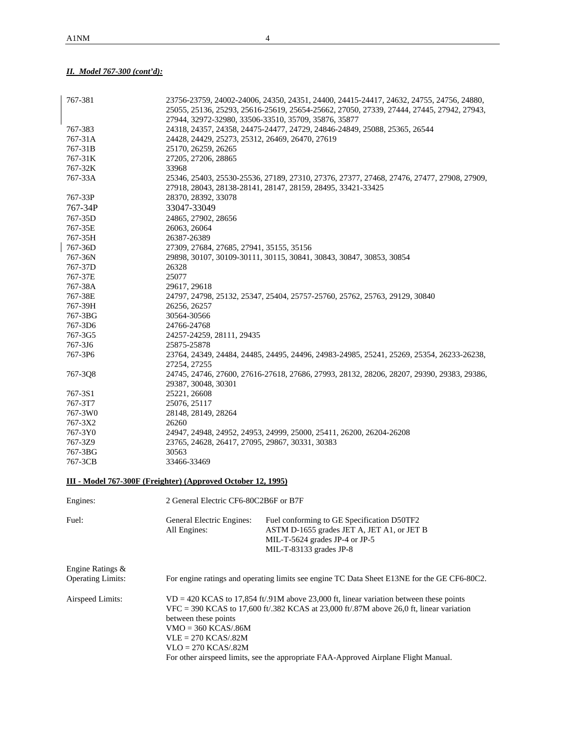# *II. Model 767-300 (cont'd):*

| 767-381                  |                                                              | 23756-23759, 24002-24006, 24350, 24351, 24400, 24415-24417, 24632, 24755, 24756, 24880,                                                                  |
|--------------------------|--------------------------------------------------------------|----------------------------------------------------------------------------------------------------------------------------------------------------------|
|                          |                                                              | 25055, 25136, 25293, 25616-25619, 25654-25662, 27050, 27339, 27444, 27445, 27942, 27943,                                                                 |
|                          |                                                              | 27944, 32972-32980, 33506-33510, 35709, 35876, 35877                                                                                                     |
| 767-383                  |                                                              | 24318, 24357, 24358, 24475-24477, 24729, 24846-24849, 25088, 25365, 26544                                                                                |
| 767-31A                  | 24428, 24429, 25273, 25312, 26469, 26470, 27619              |                                                                                                                                                          |
| 767-31B                  | 25170, 26259, 26265                                          |                                                                                                                                                          |
| 767-31K                  | 27205, 27206, 28865                                          |                                                                                                                                                          |
| 767-32K<br>767-33A       | 33968                                                        |                                                                                                                                                          |
|                          |                                                              | 25346, 25403, 25530-25536, 27189, 27310, 27376, 27377, 27468, 27476, 27477, 27908, 27909,<br>27918, 28043, 28138-28141, 28147, 28159, 28495, 33421-33425 |
| 767-33P                  | 28370, 28392, 33078                                          |                                                                                                                                                          |
| 767-34P                  | 33047-33049                                                  |                                                                                                                                                          |
| 767-35D                  | 24865, 27902, 28656                                          |                                                                                                                                                          |
| 767-35E                  | 26063, 26064                                                 |                                                                                                                                                          |
| 767-35H                  | 26387-26389                                                  |                                                                                                                                                          |
| 767-36D                  | 27309, 27684, 27685, 27941, 35155, 35156                     |                                                                                                                                                          |
| 767-36N                  |                                                              | 29898, 30107, 30109-30111, 30115, 30841, 30843, 30847, 30853, 30854                                                                                      |
| 767-37D                  | 26328                                                        |                                                                                                                                                          |
| 767-37E                  | 25077                                                        |                                                                                                                                                          |
| 767-38A                  | 29617, 29618                                                 |                                                                                                                                                          |
| 767-38E                  |                                                              | 24797, 24798, 25132, 25347, 25404, 25757-25760, 25762, 25763, 29129, 30840                                                                               |
| 767-39H                  | 26256, 26257                                                 |                                                                                                                                                          |
| 767-3BG                  | 30564-30566                                                  |                                                                                                                                                          |
| 767-3D6                  | 24766-24768                                                  |                                                                                                                                                          |
| 767-3G5                  | 24257-24259, 28111, 29435                                    |                                                                                                                                                          |
| 767-3J6                  | 25875-25878                                                  |                                                                                                                                                          |
| 767-3P6                  |                                                              | 23764, 24349, 24484, 24485, 24495, 24496, 24983-24985, 25241, 25269, 25354, 26233-26238,                                                                 |
| 767-3Q8                  | 27254, 27255                                                 | 24745, 24746, 27600, 27616-27618, 27686, 27993, 28132, 28206, 28207, 29390, 29383, 29386,                                                                |
|                          | 29387, 30048, 30301                                          |                                                                                                                                                          |
| 767-3S1                  | 25221, 26608                                                 |                                                                                                                                                          |
| 767-3T7                  | 25076, 25117                                                 |                                                                                                                                                          |
| 767-3W0                  | 28148, 28149, 28264                                          |                                                                                                                                                          |
| 767-3X2                  | 26260                                                        |                                                                                                                                                          |
| 767-3Y0                  |                                                              | 24947, 24948, 24952, 24953, 24999, 25000, 25411, 26200, 26204-26208                                                                                      |
| 767-3Z9                  | 23765, 24628, 26417, 27095, 29867, 30331, 30383              |                                                                                                                                                          |
| 767-3BG                  | 30563                                                        |                                                                                                                                                          |
| 767-3CB                  | 33466-33469                                                  |                                                                                                                                                          |
|                          | III - Model 767-300F (Freighter) (Approved October 12, 1995) |                                                                                                                                                          |
| Engines:                 | 2 General Electric CF6-80C2B6F or B7F                        |                                                                                                                                                          |
|                          |                                                              |                                                                                                                                                          |
| Fuel:                    | General Electric Engines:                                    | Fuel conforming to GE Specification D50TF2                                                                                                               |
|                          | All Engines:                                                 | ASTM D-1655 grades JET A, JET A1, or JET B                                                                                                               |
|                          |                                                              | MIL-T-5624 grades JP-4 or JP-5                                                                                                                           |
|                          |                                                              | MIL-T-83133 grades JP-8                                                                                                                                  |
|                          |                                                              |                                                                                                                                                          |
| Engine Ratings &         |                                                              |                                                                                                                                                          |
| <b>Operating Limits:</b> |                                                              | For engine ratings and operating limits see engine TC Data Sheet E13NE for the GE CF6-80C2.                                                              |
| Airspeed Limits:         |                                                              | $VD = 420$ KCAS to 17,854 ft/.91M above 23,000 ft, linear variation between these points                                                                 |
|                          |                                                              | VFC = 390 KCAS to 17,600 ft/.382 KCAS at 23,000 ft/.87M above 26,0 ft, linear variation                                                                  |
|                          | between these points                                         |                                                                                                                                                          |
|                          | $VMO = 360 KCAS/0.86M$                                       |                                                                                                                                                          |
|                          | $VLE = 270 KCAS/0.82M$                                       |                                                                                                                                                          |
|                          | $VLO = 270 KCAS/.82M$                                        |                                                                                                                                                          |
|                          |                                                              | For other airspeed limits, see the appropriate FAA-Approved Airplane Flight Manual.                                                                      |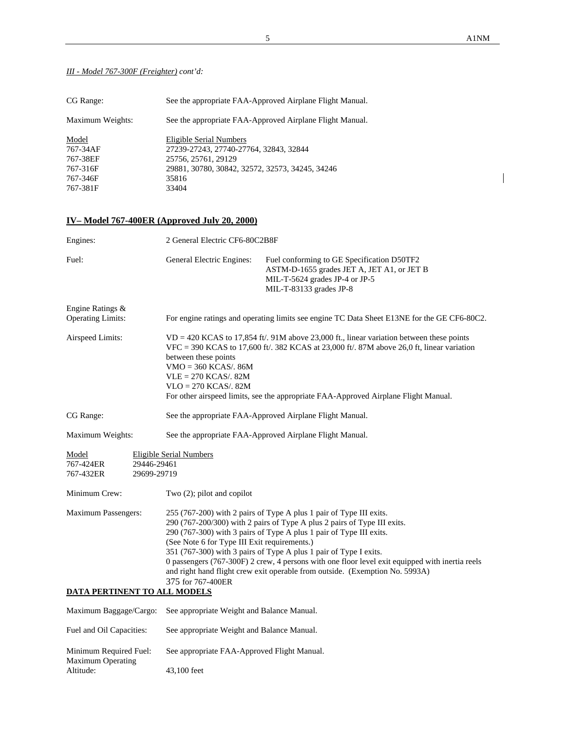$\overline{\phantom{a}}$ 

## *III - Model 767-300F (Freighter) cont'd:*

| CG Range:         | See the appropriate FAA-Approved Airplane Flight Manual.          |
|-------------------|-------------------------------------------------------------------|
| Maximum Weights:  | See the appropriate FAA-Approved Airplane Flight Manual.          |
| Model<br>767-34AF | Eligible Serial Numbers<br>27239-27243, 27740-27764, 32843, 32844 |
| 767-38EF          | 25756, 25761, 29129                                               |
| 767-316F          | 29881, 30780, 30842, 32572, 32573, 34245, 34246                   |
| 767-346F          | 35816                                                             |
| 767-381F          | 33404                                                             |

# **IV– Model 767-400ER (Approved July 20, 2000)**

Maximum Operating

Altitude: 43,100 feet

| Engines:                                                              |                            | 2 General Electric CF6-80C2B8F                                                                                                                                                                                                                                                                                                                                                                                                                                                                                                                      |                                                                                                                                                       |  |  |  |
|-----------------------------------------------------------------------|----------------------------|-----------------------------------------------------------------------------------------------------------------------------------------------------------------------------------------------------------------------------------------------------------------------------------------------------------------------------------------------------------------------------------------------------------------------------------------------------------------------------------------------------------------------------------------------------|-------------------------------------------------------------------------------------------------------------------------------------------------------|--|--|--|
| Fuel:                                                                 |                            | General Electric Engines:                                                                                                                                                                                                                                                                                                                                                                                                                                                                                                                           | Fuel conforming to GE Specification D50TF2<br>ASTM-D-1655 grades JET A, JET A1, or JET B<br>MIL-T-5624 grades JP-4 or JP-5<br>MIL-T-83133 grades JP-8 |  |  |  |
| Engine Ratings &                                                      |                            |                                                                                                                                                                                                                                                                                                                                                                                                                                                                                                                                                     |                                                                                                                                                       |  |  |  |
| <b>Operating Limits:</b>                                              |                            |                                                                                                                                                                                                                                                                                                                                                                                                                                                                                                                                                     | For engine ratings and operating limits see engine TC Data Sheet E13NE for the GE CF6-80C2.                                                           |  |  |  |
| Airspeed Limits:                                                      |                            | $VD = 420$ KCAS to 17,854 ft/. 91M above 23,000 ft., linear variation between these points<br>$VFC = 390$ KCAS to 17,600 ft/. 382 KCAS at 23,000 ft/. 87M above 26,0 ft, linear variation<br>between these points<br>$VMO = 360$ KCAS/. 86M<br>$VLE = 270$ KCAS/. 82M<br>$VLO = 270 KCAS/. 82M$<br>For other airspeed limits, see the appropriate FAA-Approved Airplane Flight Manual.                                                                                                                                                              |                                                                                                                                                       |  |  |  |
| CG Range:<br>See the appropriate FAA-Approved Airplane Flight Manual. |                            |                                                                                                                                                                                                                                                                                                                                                                                                                                                                                                                                                     |                                                                                                                                                       |  |  |  |
| Maximum Weights:                                                      |                            |                                                                                                                                                                                                                                                                                                                                                                                                                                                                                                                                                     | See the appropriate FAA-Approved Airplane Flight Manual.                                                                                              |  |  |  |
| Model<br>767-424ER<br>767-432ER                                       | 29446-29461<br>29699-29719 | Eligible Serial Numbers                                                                                                                                                                                                                                                                                                                                                                                                                                                                                                                             |                                                                                                                                                       |  |  |  |
| Minimum Crew:                                                         |                            | Two $(2)$ ; pilot and copilot                                                                                                                                                                                                                                                                                                                                                                                                                                                                                                                       |                                                                                                                                                       |  |  |  |
| <b>Maximum Passengers:</b><br>DATA PERTINENT TO ALL MODELS            |                            | 255 (767-200) with 2 pairs of Type A plus 1 pair of Type III exits.<br>290 (767-200/300) with 2 pairs of Type A plus 2 pairs of Type III exits.<br>290 (767-300) with 3 pairs of Type A plus 1 pair of Type III exits.<br>(See Note 6 for Type III Exit requirements.)<br>351 (767-300) with 3 pairs of Type A plus 1 pair of Type I exits.<br>0 passengers (767-300F) 2 crew, 4 persons with one floor level exit equipped with inertia reels<br>and right hand flight crew exit operable from outside. (Exemption No. 5993A)<br>375 for 767-400ER |                                                                                                                                                       |  |  |  |
| Maximum Baggage/Cargo:                                                |                            | See appropriate Weight and Balance Manual.                                                                                                                                                                                                                                                                                                                                                                                                                                                                                                          |                                                                                                                                                       |  |  |  |
| Fuel and Oil Capacities:                                              |                            | See appropriate Weight and Balance Manual.                                                                                                                                                                                                                                                                                                                                                                                                                                                                                                          |                                                                                                                                                       |  |  |  |
|                                                                       |                            |                                                                                                                                                                                                                                                                                                                                                                                                                                                                                                                                                     |                                                                                                                                                       |  |  |  |
| Minimum Required Fuel:                                                |                            | See appropriate FAA-Approved Flight Manual.                                                                                                                                                                                                                                                                                                                                                                                                                                                                                                         |                                                                                                                                                       |  |  |  |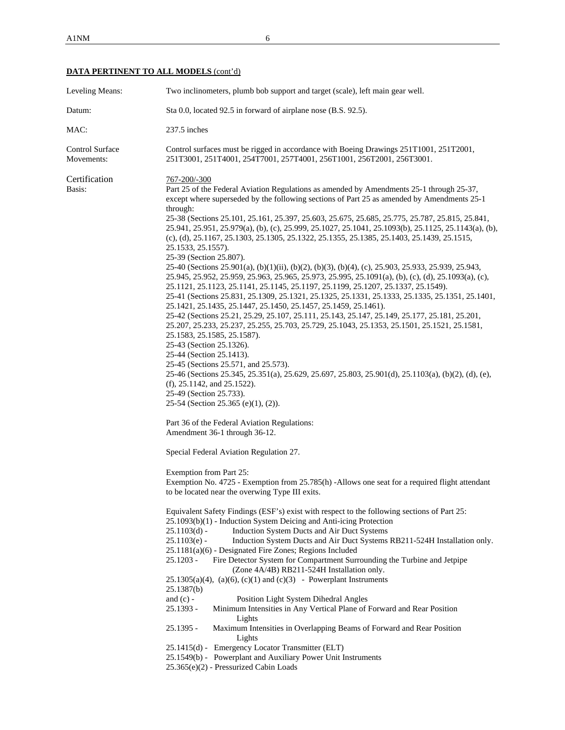| Leveling Means:               | Two inclinometers, plumb bob support and target (scale), left main gear well.                                                                                                                                                                                                                                                                                                                                                                                                                                                                                                                                                                                                                                                                                                                                                                                                                                                                                                                                                                                                                                                                                                                                                                                                                                                                                                                                                                                                                                                                                                                                                                                                                                                                                                                                                                                                                                                                                                                                                                                                                                                                                                                                                                                                                                                                                                                                                                                                                                                                                                                                                                                                                                                                                                                                                                                                                                                                                        |
|-------------------------------|----------------------------------------------------------------------------------------------------------------------------------------------------------------------------------------------------------------------------------------------------------------------------------------------------------------------------------------------------------------------------------------------------------------------------------------------------------------------------------------------------------------------------------------------------------------------------------------------------------------------------------------------------------------------------------------------------------------------------------------------------------------------------------------------------------------------------------------------------------------------------------------------------------------------------------------------------------------------------------------------------------------------------------------------------------------------------------------------------------------------------------------------------------------------------------------------------------------------------------------------------------------------------------------------------------------------------------------------------------------------------------------------------------------------------------------------------------------------------------------------------------------------------------------------------------------------------------------------------------------------------------------------------------------------------------------------------------------------------------------------------------------------------------------------------------------------------------------------------------------------------------------------------------------------------------------------------------------------------------------------------------------------------------------------------------------------------------------------------------------------------------------------------------------------------------------------------------------------------------------------------------------------------------------------------------------------------------------------------------------------------------------------------------------------------------------------------------------------------------------------------------------------------------------------------------------------------------------------------------------------------------------------------------------------------------------------------------------------------------------------------------------------------------------------------------------------------------------------------------------------------------------------------------------------------------------------------------------------|
| Datum:                        | Sta 0.0, located 92.5 in forward of airplane nose (B.S. 92.5).                                                                                                                                                                                                                                                                                                                                                                                                                                                                                                                                                                                                                                                                                                                                                                                                                                                                                                                                                                                                                                                                                                                                                                                                                                                                                                                                                                                                                                                                                                                                                                                                                                                                                                                                                                                                                                                                                                                                                                                                                                                                                                                                                                                                                                                                                                                                                                                                                                                                                                                                                                                                                                                                                                                                                                                                                                                                                                       |
| MAC:                          | 237.5 inches                                                                                                                                                                                                                                                                                                                                                                                                                                                                                                                                                                                                                                                                                                                                                                                                                                                                                                                                                                                                                                                                                                                                                                                                                                                                                                                                                                                                                                                                                                                                                                                                                                                                                                                                                                                                                                                                                                                                                                                                                                                                                                                                                                                                                                                                                                                                                                                                                                                                                                                                                                                                                                                                                                                                                                                                                                                                                                                                                         |
| Control Surface<br>Movements: | Control surfaces must be rigged in accordance with Boeing Drawings 251T1001, 251T2001,<br>251T3001, 251T4001, 254T7001, 257T4001, 256T1001, 256T2001, 256T3001.                                                                                                                                                                                                                                                                                                                                                                                                                                                                                                                                                                                                                                                                                                                                                                                                                                                                                                                                                                                                                                                                                                                                                                                                                                                                                                                                                                                                                                                                                                                                                                                                                                                                                                                                                                                                                                                                                                                                                                                                                                                                                                                                                                                                                                                                                                                                                                                                                                                                                                                                                                                                                                                                                                                                                                                                      |
| Certification<br>Basis:       | 767-200/-300<br>Part 25 of the Federal Aviation Regulations as amended by Amendments 25-1 through 25-37,<br>except where superseded by the following sections of Part 25 as amended by Amendments 25-1<br>through:<br>25.38 (Sections 25.101, 25.161, 25.397, 25.603, 25.675, 25.685, 25.775, 25.787, 25.815, 25.841,<br>25.941, 25.951, 25.979(a), (b), (c), 25.999, 25.1027, 25.1041, 25.1093(b), 25.1125, 25.1143(a), (b),<br>(c), (d), 25.1167, 25.1303, 25.1305, 25.1322, 25.1355, 25.1385, 25.1403, 25.1439, 25.1515,<br>25.1533, 25.1557).<br>25-39 (Section 25.807).<br>25-40 (Sections 25.901(a), (b)(1)(ii), (b)(2), (b)(3), (b)(4), (c), 25.903, 25.933, 25.939, 25.943,<br>25.945, 25.952, 25.959, 25.963, 25.965, 25.973, 25.995, 25.1091(a), (b), (c), (d), 25.1093(a), (c),<br>25.1121, 25.1123, 25.1141, 25.1145, 25.1197, 25.1199, 25.1207, 25.1337, 25.1549).<br>25-41 (Sections 25.831, 25.1309, 25.1321, 25.1325, 25.1331, 25.1333, 25.1335, 25.1351, 25.1401,<br>25.1421, 25.1435, 25.1447, 25.1450, 25.1457, 25.1459, 25.1461).<br>25.42 (Sections 25.21, 25.29, 25.107, 25.111, 25.143, 25.147, 25.149, 25.177, 25.181, 25.201,<br>25.207, 25.233, 25.237, 25.255, 25.703, 25.729, 25.1043, 25.1353, 25.1501, 25.1521, 25.1581,<br>25.1583, 25.1585, 25.1587).<br>25-43 (Section 25.1326).<br>25-44 (Section 25.1413).<br>25-45 (Sections 25.571, and 25.573).<br>25-46 (Sections 25.345, 25.351(a), 25.629, 25.697, 25.803, 25.901(d), 25.1103(a), (b)(2), (d), (e),<br>$(f)$ , 25.1142, and 25.1522).<br>25-49 (Section 25.733).<br>25-54 (Section 25.365 (e)(1), (2)).<br>Part 36 of the Federal Aviation Regulations:<br>Amendment 36-1 through 36-12.<br>Special Federal Aviation Regulation 27.<br>Exemption from Part 25:<br>Exemption No. 4725 - Exemption from 25.785(h) -Allows one seat for a required flight attendant<br>to be located near the overwing Type III exits.<br>Equivalent Safety Findings (ESF's) exist with respect to the following sections of Part 25:<br>25.1093(b)(1) - Induction System Deicing and Anti-icing Protection<br>$25.1103(d)$ -<br>Induction System Ducts and Air Duct Systems<br>Induction System Ducts and Air Duct Systems RB211-524H Installation only.<br>$25.1103(e) -$<br>$25.1181(a)(6)$ - Designated Fire Zones; Regions Included<br>Fire Detector System for Compartment Surrounding the Turbine and Jetpipe<br>25.1203 -<br>(Zone 4A/4B) RB211-524H Installation only.<br>$25.1305(a)(4)$ , (a)(6), (c)(1) and (c)(3) - Powerplant Instruments<br>25.1387(b)<br>and $(c)$ -<br>Position Light System Dihedral Angles<br>Minimum Intensities in Any Vertical Plane of Forward and Rear Position<br>25.1393 -<br>Lights<br>$25.1395 -$<br>Maximum Intensities in Overlapping Beams of Forward and Rear Position<br>Lights<br>25.1415(d) - Emergency Locator Transmitter (ELT)<br>25.1549(b) - Powerplant and Auxiliary Power Unit Instruments<br>25.365(e)(2) - Pressurized Cabin Loads |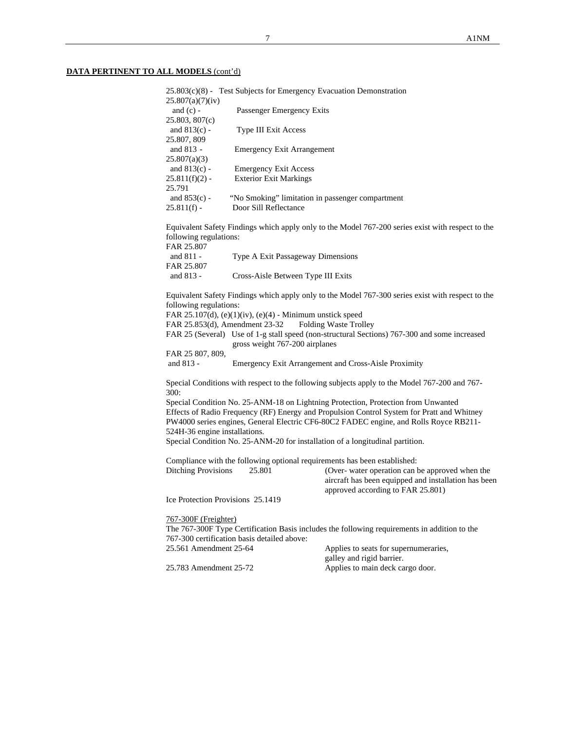|                                   | $25.803(c)(8)$ - Test Subjects for Emergency Evacuation Demonstration |                                                                                                   |
|-----------------------------------|-----------------------------------------------------------------------|---------------------------------------------------------------------------------------------------|
| 25.807(a)(7)(iv)<br>and $(c)$ -   | Passenger Emergency Exits                                             |                                                                                                   |
| 25.803, 807(c)                    |                                                                       |                                                                                                   |
| and $813(c)$ -                    | Type III Exit Access                                                  |                                                                                                   |
| 25.807, 809<br>and 813 -          | <b>Emergency Exit Arrangement</b>                                     |                                                                                                   |
| 25.807(a)(3)                      |                                                                       |                                                                                                   |
| and $813(c)$ -                    | <b>Emergency Exit Access</b>                                          |                                                                                                   |
| $25.811(f)(2)$ -<br>25.791        | <b>Exterior Exit Markings</b>                                         |                                                                                                   |
| and $853(c)$ -                    | "No Smoking" limitation in passenger compartment                      |                                                                                                   |
| $25.811(f)$ -                     | Door Sill Reflectance                                                 |                                                                                                   |
| following regulations:            |                                                                       | Equivalent Safety Findings which apply only to the Model 767-200 series exist with respect to the |
| FAR 25.807                        |                                                                       |                                                                                                   |
| and 811 -                         | Type A Exit Passageway Dimensions                                     |                                                                                                   |
| FAR 25.807                        |                                                                       |                                                                                                   |
| and 813 -                         | Cross-Aisle Between Type III Exits                                    |                                                                                                   |
|                                   |                                                                       | Equivalent Safety Findings which apply only to the Model 767-300 series exist with respect to the |
| following regulations:            |                                                                       |                                                                                                   |
|                                   | FAR 25.107(d), $(e)(1)(iv)$ , $(e)(4)$ - Minimum unstick speed        |                                                                                                   |
| FAR 25.853(d), Amendment 23-32    |                                                                       | Folding Waste Trolley                                                                             |
|                                   | gross weight 767-200 airplanes                                        | FAR 25 (Several) Use of 1-g stall speed (non-structural Sections) 767-300 and some increased      |
| FAR 25 807, 809,                  |                                                                       |                                                                                                   |
| and 813 -                         |                                                                       | Emergency Exit Arrangement and Cross-Aisle Proximity                                              |
| 300:                              |                                                                       | Special Conditions with respect to the following subjects apply to the Model 767-200 and 767-     |
|                                   |                                                                       | Special Condition No. 25-ANM-18 on Lightning Protection, Protection from Unwanted                 |
|                                   |                                                                       | Effects of Radio Frequency (RF) Energy and Propulsion Control System for Pratt and Whitney        |
| 524H-36 engine installations.     |                                                                       | PW4000 series engines, General Electric CF6-80C2 FADEC engine, and Rolls Royce RB211-             |
|                                   |                                                                       | Special Condition No. 25-ANM-20 for installation of a longitudinal partition.                     |
|                                   |                                                                       |                                                                                                   |
|                                   |                                                                       | Compliance with the following optional requirements has been established:                         |
| <b>Ditching Provisions</b>        | 25.801                                                                | (Over- water operation can be approved when the                                                   |
|                                   |                                                                       | aircraft has been equipped and installation has been<br>approved according to FAR 25.801)         |
| Ice Protection Provisions 25.1419 |                                                                       |                                                                                                   |
| 767-300F (Freighter)              |                                                                       |                                                                                                   |
|                                   |                                                                       | The 767-300F Type Certification Basis includes the following requirements in addition to the      |
|                                   | 767-300 certification basis detailed above:                           |                                                                                                   |
| 25.561 Amendment 25-64            |                                                                       | Applies to seats for supernumeraries,<br>galley and rigid barrier.                                |
| 25.783 Amendment 25-72            |                                                                       | Applies to main deck cargo door.                                                                  |
|                                   |                                                                       |                                                                                                   |
|                                   |                                                                       |                                                                                                   |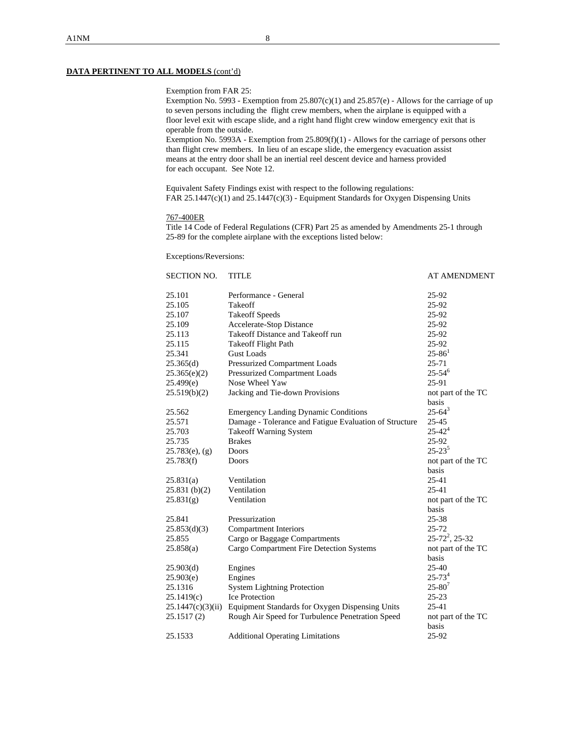### Exemption from FAR 25:

 Exemption No. 5993 - Exemption from 25.807(c)(1) and 25.857(e) - Allows for the carriage of up to seven persons including the flight crew members, when the airplane is equipped with a floor level exit with escape slide, and a right hand flight crew window emergency exit that is operable from the outside.

 Exemption No. 5993A - Exemption from 25.809(f)(1) - Allows for the carriage of persons other than flight crew members. In lieu of an escape slide, the emergency evacuation assist means at the entry door shall be an inertial reel descent device and harness provided for each occupant. See Note 12.

 Equivalent Safety Findings exist with respect to the following regulations: FAR 25.1447(c)(1) and 25.1447(c)(3) - Equipment Standards for Oxygen Dispensing Units

### 767-400ER

Title 14 Code of Federal Regulations (CFR) Part 25 as amended by Amendments 25-1 through 25-89 for the complete airplane with the exceptions listed below:

### Exceptions/Reversions:

| <b>SECTION NO.</b> | <b>TITLE</b>                                           | <b>AT AMENDMENT</b>    |
|--------------------|--------------------------------------------------------|------------------------|
| 25.101             | Performance - General                                  | 25-92                  |
| 25.105             | Takeoff                                                | 25-92                  |
| 25.107             | <b>Takeoff Speeds</b>                                  | 25-92                  |
| 25.109             | Accelerate-Stop Distance                               | 25-92                  |
| 25.113             | Takeoff Distance and Takeoff run                       | 25-92                  |
| 25.115             | <b>Takeoff Flight Path</b>                             | 25-92                  |
| 25.341             | <b>Gust Loads</b>                                      | $25 - 86$ <sup>1</sup> |
| 25.365(d)          | Pressurized Compartment Loads                          | 25-71                  |
| 25.365(e)(2)       | Pressurized Compartment Loads                          | $25 - 54^{6}$          |
| 25.499(e)          | Nose Wheel Yaw                                         | 25-91                  |
| 25.519(b)(2)       | Jacking and Tie-down Provisions                        | not part of the TC     |
|                    |                                                        | basis                  |
| 25.562             | <b>Emergency Landing Dynamic Conditions</b>            | $25 - 64^3$            |
| 25.571             | Damage - Tolerance and Fatigue Evaluation of Structure | 25-45                  |
| 25.703             | <b>Takeoff Warning System</b>                          | $25 - 42^{4}$          |
| 25.735             | <b>Brakes</b>                                          | 25-92                  |
| $25.783(e)$ , (g)  | Doors                                                  | $25 - 23^{5}$          |
| 25.783(f)          | Doors                                                  | not part of the TC     |
|                    |                                                        | basis                  |
| 25.831(a)          | Ventilation                                            | 25-41                  |
| 25.831(b)(2)       | Ventilation                                            | $25 - 41$              |
| 25.831(g)          | Ventilation                                            | not part of the TC     |
|                    |                                                        | basis                  |
| 25.841             | Pressurization                                         | 25-38                  |
| 25.853(d)(3)       | <b>Compartment Interiors</b>                           | $25 - 72$              |
| 25.855             | Cargo or Baggage Compartments                          | $25 - 72^2$ , 25-32    |
| 25.858(a)          | Cargo Compartment Fire Detection Systems               | not part of the TC     |
|                    |                                                        | basis                  |
| 25.903(d)          | Engines                                                | $25 - 40$              |
| 25.903(e)          | Engines                                                | $25 - 734$             |
| 25.1316            | <b>System Lightning Protection</b>                     | $25 - 80^{7}$          |
| 25.1419(c)         | <b>Ice Protection</b>                                  | $25 - 23$              |
| 25.1447(c)(3)(ii)  | Equipment Standards for Oxygen Dispensing Units        | 25-41                  |
| 25.1517(2)         | Rough Air Speed for Turbulence Penetration Speed       | not part of the TC     |
|                    |                                                        | basis                  |
| 25.1533            | <b>Additional Operating Limitations</b>                | 25-92                  |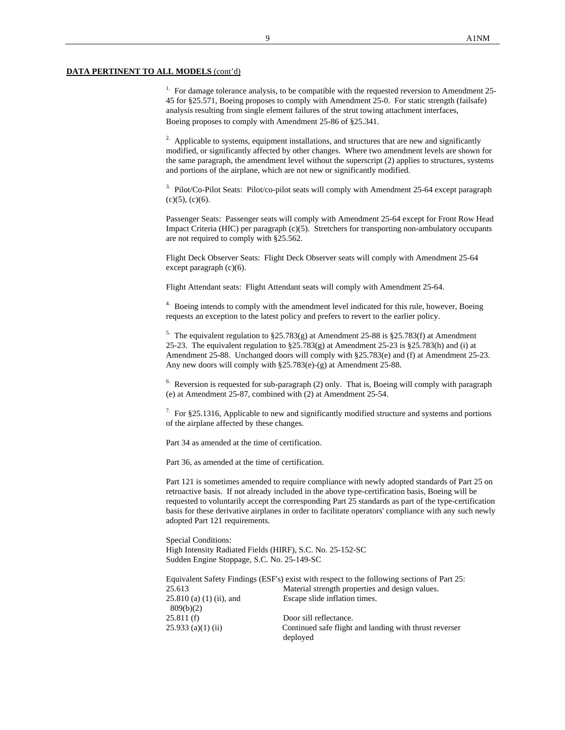<sup>1.</sup> For damage tolerance analysis, to be compatible with the requested reversion to Amendment 25-45 for §25.571, Boeing proposes to comply with Amendment 25-0. For static strength (failsafe) analysis resulting from single element failures of the strut towing attachment interfaces, Boeing proposes to comply with Amendment 25-86 of §25.341.

 $2\sigma$ . Applicable to systems, equipment installations, and structures that are new and significantly modified, or significantly affected by other changes. Where two amendment levels are shown for the same paragraph, the amendment level without the superscript (2) applies to structures, systems and portions of the airplane, which are not new or significantly modified.

<sup>3.</sup> Pilot/Co-Pilot Seats: Pilot/co-pilot seats will comply with Amendment 25-64 except paragraph  $(c)(5)$ ,  $(c)(6)$ .

Passenger Seats: Passenger seats will comply with Amendment 25-64 except for Front Row Head Impact Criteria (HIC) per paragraph (c)(5). Stretchers for transporting non-ambulatory occupants are not required to comply with §25.562.

Flight Deck Observer Seats: Flight Deck Observer seats will comply with Amendment 25-64 except paragraph (c)(6).

Flight Attendant seats: Flight Attendant seats will comply with Amendment 25-64.

<sup>4.</sup> Boeing intends to comply with the amendment level indicated for this rule, however, Boeing requests an exception to the latest policy and prefers to revert to the earlier policy.

<sup>5.</sup> The equivalent regulation to §25.783(g) at Amendment 25-88 is §25.783(f) at Amendment 25-23. The equivalent regulation to §25.783(g) at Amendment 25-23 is §25.783(h) and (i) at Amendment 25-88. Unchanged doors will comply with §25.783(e) and (f) at Amendment 25-23. Any new doors will comply with §25.783(e)-(g) at Amendment 25-88.

 $6.$  Reversion is requested for sub-paragraph (2) only. That is, Boeing will comply with paragraph (e) at Amendment 25-87, combined with (2) at Amendment 25-54.

 $7.$  For §25.1316, Applicable to new and significantly modified structure and systems and portions of the airplane affected by these changes.

Part 34 as amended at the time of certification.

Part 36, as amended at the time of certification.

Part 121 is sometimes amended to require compliance with newly adopted standards of Part 25 on retroactive basis. If not already included in the above type-certification basis, Boeing will be requested to voluntarily accept the corresponding Part 25 standards as part of the type-certification basis for these derivative airplanes in order to facilitate operators' compliance with any such newly adopted Part 121 requirements.

Special Conditions: High Intensity Radiated Fields (HIRF), S.C. No. 25-152-SC Sudden Engine Stoppage, S.C. No. 25-149-SC

|                            | Equivalent Safety Findings (ESF's) exist with respect to the following sections of Part 25: |
|----------------------------|---------------------------------------------------------------------------------------------|
| 25.613                     | Material strength properties and design values.                                             |
| $25.810$ (a) (1) (ii), and | Escape slide inflation times.                                                               |
| 809(b)(2)                  |                                                                                             |
| 25.811(f)                  | Door sill reflectance.                                                                      |
| $25.933$ (a)(1) (ii)       | Continued safe flight and landing with thrust reverser                                      |
|                            | deployed                                                                                    |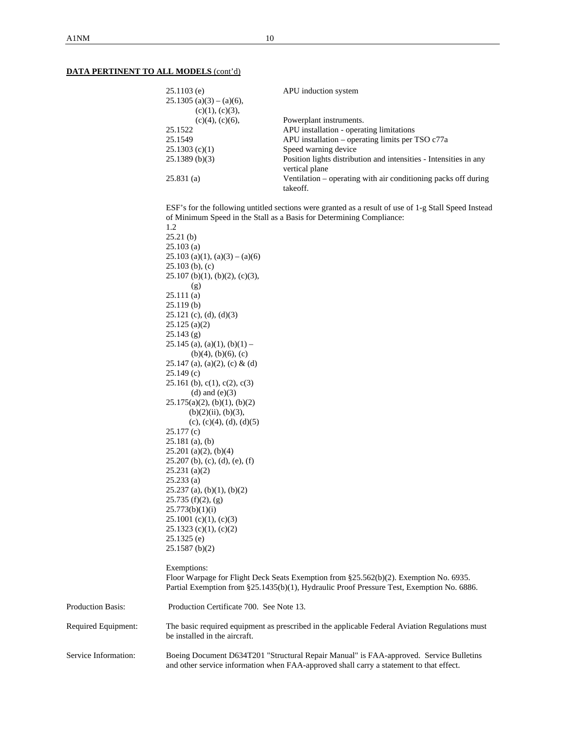|                          | $25.1103$ (e)<br>$25.1305$ (a)(3) – (a)(6),                  | APU induction system                                                                                                                                                               |  |  |  |  |
|--------------------------|--------------------------------------------------------------|------------------------------------------------------------------------------------------------------------------------------------------------------------------------------------|--|--|--|--|
|                          | (c)(1), (c)(3),                                              |                                                                                                                                                                                    |  |  |  |  |
|                          | $(c)(4)$ , $(c)(6)$ ,                                        | Powerplant instruments.                                                                                                                                                            |  |  |  |  |
|                          | 25.1522                                                      | APU installation - operating limitations                                                                                                                                           |  |  |  |  |
|                          | 25.1549                                                      | APU installation - operating limits per TSO c77a                                                                                                                                   |  |  |  |  |
|                          | 25.1303(c)(1)                                                | Speed warning device                                                                                                                                                               |  |  |  |  |
|                          | 25.1389(b)(3)                                                | Position lights distribution and intensities - Intensities in any<br>vertical plane                                                                                                |  |  |  |  |
|                          | 25.831(a)                                                    | Ventilation – operating with air conditioning packs off during<br>takeoff.                                                                                                         |  |  |  |  |
|                          | 1.2                                                          | ESF's for the following untitled sections were granted as a result of use of 1-g Stall Speed Instead<br>of Minimum Speed in the Stall as a Basis for Determining Compliance:       |  |  |  |  |
|                          | 25.21(b)                                                     |                                                                                                                                                                                    |  |  |  |  |
|                          | $25.103$ (a)                                                 |                                                                                                                                                                                    |  |  |  |  |
|                          | $25.103$ (a)(1), (a)(3) – (a)(6)                             |                                                                                                                                                                                    |  |  |  |  |
|                          | $25.103$ (b), (c)                                            |                                                                                                                                                                                    |  |  |  |  |
|                          | $25.107$ (b)(1), (b)(2), (c)(3),<br>(g)                      |                                                                                                                                                                                    |  |  |  |  |
|                          | 25.111(a)                                                    |                                                                                                                                                                                    |  |  |  |  |
|                          | 25.119(b)                                                    |                                                                                                                                                                                    |  |  |  |  |
|                          | $25.121$ (c), (d), (d)(3)                                    |                                                                                                                                                                                    |  |  |  |  |
|                          | $25.125$ (a)(2)                                              |                                                                                                                                                                                    |  |  |  |  |
|                          | $25.143$ (g)                                                 |                                                                                                                                                                                    |  |  |  |  |
|                          | $25.145$ (a), (a)(1), (b)(1) –                               |                                                                                                                                                                                    |  |  |  |  |
|                          | $(b)(4)$ , $(b)(6)$ , $(c)$                                  |                                                                                                                                                                                    |  |  |  |  |
|                          | 25.147 (a), (a)(2), (c) & (d)<br>25.149(c)                   |                                                                                                                                                                                    |  |  |  |  |
|                          | 25.161 (b), $c(1)$ , $c(2)$ , $c(3)$<br>(d) and $(e)(3)$     |                                                                                                                                                                                    |  |  |  |  |
|                          | $25.175(a)(2)$ , (b)(1), (b)(2)<br>$(b)(2)(ii)$ , $(b)(3)$ , |                                                                                                                                                                                    |  |  |  |  |
|                          | (c), (c)(4), (d), (d)(5)                                     |                                                                                                                                                                                    |  |  |  |  |
|                          | 25.177 (c)                                                   |                                                                                                                                                                                    |  |  |  |  |
|                          | $25.181$ (a), (b)                                            |                                                                                                                                                                                    |  |  |  |  |
|                          | $25.201$ (a)(2), (b)(4)                                      |                                                                                                                                                                                    |  |  |  |  |
|                          | $25.207$ (b), (c), (d), (e), (f)                             |                                                                                                                                                                                    |  |  |  |  |
|                          | $25.231$ (a)(2)                                              |                                                                                                                                                                                    |  |  |  |  |
|                          | 25.233(a)                                                    |                                                                                                                                                                                    |  |  |  |  |
|                          | $25.237$ (a), (b)(1), (b)(2)                                 |                                                                                                                                                                                    |  |  |  |  |
|                          | 25.735(f)(2), (g)                                            |                                                                                                                                                                                    |  |  |  |  |
|                          | 25.773(b)(1)(i)                                              |                                                                                                                                                                                    |  |  |  |  |
|                          | $25.1001$ (c)(1), (c)(3)<br>$25.1323$ (c)(1), (c)(2)         |                                                                                                                                                                                    |  |  |  |  |
|                          | $25.1325$ (e)                                                |                                                                                                                                                                                    |  |  |  |  |
|                          | $25.1587$ (b)(2)                                             |                                                                                                                                                                                    |  |  |  |  |
|                          | Exemptions:                                                  |                                                                                                                                                                                    |  |  |  |  |
|                          |                                                              | Floor Warpage for Flight Deck Seats Exemption from §25.562(b)(2). Exemption No. 6935.<br>Partial Exemption from §25.1435(b)(1), Hydraulic Proof Pressure Test, Exemption No. 6886. |  |  |  |  |
| <b>Production Basis:</b> | Production Certificate 700. See Note 13.                     |                                                                                                                                                                                    |  |  |  |  |
| Required Equipment:      | be installed in the aircraft.                                | The basic required equipment as prescribed in the applicable Federal Aviation Regulations must                                                                                     |  |  |  |  |
| Service Information:     |                                                              | Boeing Document D634T201 "Structural Repair Manual" is FAA-approved. Service Bulletins<br>and other service information when FAA-approved shall carry a statement to that effect.  |  |  |  |  |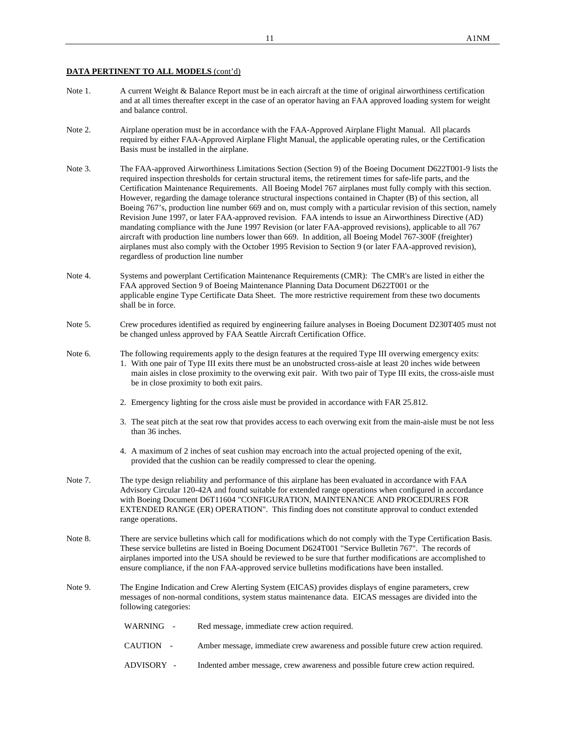- Note 1. A current Weight & Balance Report must be in each aircraft at the time of original airworthiness certification and at all times thereafter except in the case of an operator having an FAA approved loading system for weight and balance control.
- Note 2. Airplane operation must be in accordance with the FAA-Approved Airplane Flight Manual. All placards required by either FAA-Approved Airplane Flight Manual, the applicable operating rules, or the Certification Basis must be installed in the airplane.
- Note 3. The FAA-approved Airworthiness Limitations Section (Section 9) of the Boeing Document D622T001-9 lists the required inspection thresholds for certain structural items, the retirement times for safe-life parts, and the Certification Maintenance Requirements. All Boeing Model 767 airplanes must fully comply with this section. However, regarding the damage tolerance structural inspections contained in Chapter (B) of this section, all Boeing 767's, production line number 669 and on, must comply with a particular revision of this section, namely Revision June 1997, or later FAA-approved revision. FAA intends to issue an Airworthiness Directive (AD) mandating compliance with the June 1997 Revision (or later FAA-approved revisions), applicable to all 767 aircraft with production line numbers lower than 669. In addition, all Boeing Model 767-300F (freighter) airplanes must also comply with the October 1995 Revision to Section 9 (or later FAA-approved revision), regardless of production line number
- Note 4. Systems and powerplant Certification Maintenance Requirements (CMR): The CMR's are listed in either the FAA approved Section 9 of Boeing Maintenance Planning Data Document D622T001 or the applicable engine Type Certificate Data Sheet. The more restrictive requirement from these two documents shall be in force.
- Note 5. Crew procedures identified as required by engineering failure analyses in Boeing Document D230T405 must not be changed unless approved by FAA Seattle Aircraft Certification Office.
- Note 6. The following requirements apply to the design features at the required Type III overwing emergency exits: 1. With one pair of Type III exits there must be an unobstructed cross-aisle at least 20 inches wide between main aisles in close proximity to the overwing exit pair. With two pair of Type III exits, the cross-aisle must be in close proximity to both exit pairs.
	- 2. Emergency lighting for the cross aisle must be provided in accordance with FAR 25.812.
	- 3. The seat pitch at the seat row that provides access to each overwing exit from the main-aisle must be not less than 36 inches.
	- 4. A maximum of 2 inches of seat cushion may encroach into the actual projected opening of the exit, provided that the cushion can be readily compressed to clear the opening.
- Note 7. The type design reliability and performance of this airplane has been evaluated in accordance with FAA Advisory Circular 120-42A and found suitable for extended range operations when configured in accordance with Boeing Document D6T11604 "CONFIGURATION, MAINTENANCE AND PROCEDURES FOR EXTENDED RANGE (ER) OPERATION". This finding does not constitute approval to conduct extended range operations.
- Note 8. There are service bulletins which call for modifications which do not comply with the Type Certification Basis. These service bulletins are listed in Boeing Document D624T001 "Service Bulletin 767". The records of airplanes imported into the USA should be reviewed to be sure that further modifications are accomplished to ensure compliance, if the non FAA-approved service bulletins modifications have been installed.
- Note 9. The Engine Indication and Crew Alerting System (EICAS) provides displays of engine parameters, crew messages of non-normal conditions, system status maintenance data. EICAS messages are divided into the following categories:

| WARNING - | Red message, immediate crew action required. |
|-----------|----------------------------------------------|
|           |                                              |

- CAUTION Amber message, immediate crew awareness and possible future crew action required.
- ADVISORY Indented amber message, crew awareness and possible future crew action required.